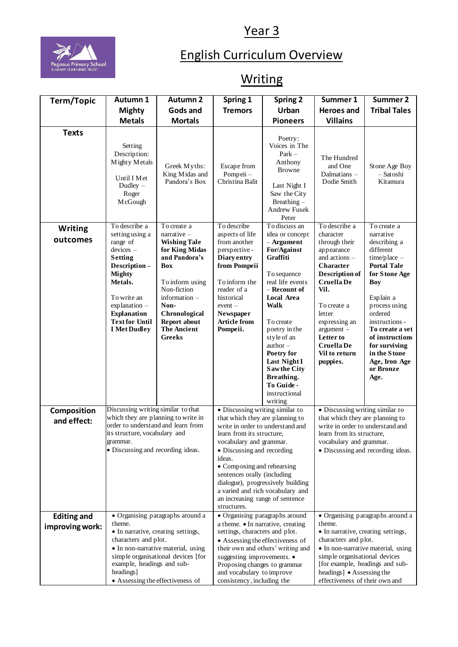## Year 3



## English Curriculum Overview

## **Writing**

| Term/Topic         | Autumn 1                                                                                                                                                                                                     | Autumn <sub>2</sub>                                                                                                                                                                                                      | Spring 1                                                                                                                                                                                                                                                                                                                                                    | <b>Spring 2</b>                                                                                                                                                                                                                                                                                                  | Summer 1                                                                                                                                                                                                                                     | Summer 2                                                                                                                                                                                                                                                                     |
|--------------------|--------------------------------------------------------------------------------------------------------------------------------------------------------------------------------------------------------------|--------------------------------------------------------------------------------------------------------------------------------------------------------------------------------------------------------------------------|-------------------------------------------------------------------------------------------------------------------------------------------------------------------------------------------------------------------------------------------------------------------------------------------------------------------------------------------------------------|------------------------------------------------------------------------------------------------------------------------------------------------------------------------------------------------------------------------------------------------------------------------------------------------------------------|----------------------------------------------------------------------------------------------------------------------------------------------------------------------------------------------------------------------------------------------|------------------------------------------------------------------------------------------------------------------------------------------------------------------------------------------------------------------------------------------------------------------------------|
|                    | <b>Mighty</b>                                                                                                                                                                                                | Gods and                                                                                                                                                                                                                 | <b>Tremors</b>                                                                                                                                                                                                                                                                                                                                              | Urban                                                                                                                                                                                                                                                                                                            | <b>Heroes</b> and                                                                                                                                                                                                                            | <b>Tribal Tales</b>                                                                                                                                                                                                                                                          |
|                    | <b>Metals</b>                                                                                                                                                                                                | <b>Mortals</b>                                                                                                                                                                                                           |                                                                                                                                                                                                                                                                                                                                                             | <b>Pioneers</b>                                                                                                                                                                                                                                                                                                  | <b>Villains</b>                                                                                                                                                                                                                              |                                                                                                                                                                                                                                                                              |
| <b>Texts</b>       | Setting<br>Description:<br>Mighty Metals<br>Until I Met<br>Dudley $-$<br>Roger<br>McGough                                                                                                                    | Greek Myths:<br>King Midas and<br>Pandora's Box                                                                                                                                                                          | Escape from<br>Pompeii-<br>Christina Balit                                                                                                                                                                                                                                                                                                                  | Poetry:<br>Voices in The<br>$Park -$<br>Anthony<br><b>Browne</b><br>Last Night I<br>Saw the City<br>$Breating -$<br><b>Andrew Fusek</b><br>Peter                                                                                                                                                                 | The Hundred<br>and One<br>Dalmatians -<br>Dodie Smith                                                                                                                                                                                        | Stone Age Boy<br>- Satoshi<br>Kitamura                                                                                                                                                                                                                                       |
| <b>Writing</b>     | To describe a                                                                                                                                                                                                | To create a                                                                                                                                                                                                              | To describe                                                                                                                                                                                                                                                                                                                                                 | To discuss an                                                                                                                                                                                                                                                                                                    | To describe a                                                                                                                                                                                                                                | To create a                                                                                                                                                                                                                                                                  |
| outcomes           | setting using a<br>range of<br>devices –<br><b>Setting</b><br>Description-<br><b>Mighty</b><br>Metals.<br>To write an<br>explanation -<br><b>Explanation</b><br><b>Text for Until</b><br><b>I</b> Met Dudley | $narrative -$<br><b>Wishing Tale</b><br>for King Midas<br>and Pandora's<br><b>Box</b><br>To inform using<br>Non-fiction<br>information -<br>Non-<br>Chronological<br>Report about<br><b>The Ancient</b><br><b>Greeks</b> | aspects of life<br>from another<br>perspective-<br>Diary entry<br>from Pompeii<br>To inform the<br>reader of a<br>historical<br>$event -$<br>Newspaper<br><b>Article from</b><br>Pompeii.                                                                                                                                                                   | idea or concept<br>- Argument<br>For/Against<br>Graffiti<br>To sequence<br>real life events<br>– Recount of<br>Local Area<br><b>Walk</b><br>To create<br>poetry in the<br>style of an<br>$\text{author}$ –<br>Poetry for<br>Last Night I<br>Saw the City<br>Breathing.<br>To Guide -<br>instructional<br>writing | character<br>through their<br>appearance<br>and actions -<br><b>Character</b><br><b>Description of</b><br>Cruella De<br>Vil.<br>To create a<br>letter<br>expressing an<br>argument -<br>Letter to<br>Cruella De<br>Vil to return<br>puppies. | narrative<br>describing a<br>different<br>time/place -<br><b>Portal Tale</b><br>for Stone Age<br>Boy<br>Explain a<br>process using<br>ordered<br>instructions -<br>To create a set<br>of instructions<br>for surviving<br>in the Stone<br>Age, Iron Age<br>or Bronze<br>Age. |
| Composition        | Discussing writing similar to that                                                                                                                                                                           |                                                                                                                                                                                                                          | · Discussing writing similar to                                                                                                                                                                                                                                                                                                                             |                                                                                                                                                                                                                                                                                                                  | • Discussing writing similar to                                                                                                                                                                                                              |                                                                                                                                                                                                                                                                              |
| and effect:        | which they are planning to write in<br>order to understand and learn from<br>its structure, vocabulary and<br>grammar.<br>• Discussing and recording ideas.                                                  |                                                                                                                                                                                                                          | that which they are planning to<br>write in order to understand and<br>learn from its structure,<br>vocabulary and grammar.<br>• Discussing and recording<br>ideas.<br>• Composing and rehearsing<br>sentences orally (including<br>dialogue), progressively building<br>a varied and rich vocabulary and<br>an increasing range of sentence<br>structures. |                                                                                                                                                                                                                                                                                                                  | that which they are planning to<br>write in order to understand and<br>learn from its structure,<br>vocabulary and grammar.<br>• Discussing and recording ideas.                                                                             |                                                                                                                                                                                                                                                                              |
| <b>Editing and</b> | • Organising paragraphs around a                                                                                                                                                                             |                                                                                                                                                                                                                          | • Organising paragraphs around                                                                                                                                                                                                                                                                                                                              |                                                                                                                                                                                                                                                                                                                  | • Organising paragraphs around a                                                                                                                                                                                                             |                                                                                                                                                                                                                                                                              |
| improving work:    | theme.<br>• In narrative, creating settings,<br>characters and plot.<br>• In non-narrative material, using<br>simple organisational devices [for<br>example, headings and sub-<br>headings]                  |                                                                                                                                                                                                                          | a theme. • In narrative, creating<br>settings, characters and plot.<br>• Assessing the effectiveness of<br>their own and others' writing and<br>suggesting improvements. •<br>Proposing changes to grammar<br>and vocabulary to improve                                                                                                                     |                                                                                                                                                                                                                                                                                                                  | theme.<br>• In narrative, creating settings,<br>characters and plot.<br>• In non-narrative material, using<br>simple organisational devices<br>[for example, headings and sub-<br>headings] • Assessing the                                  |                                                                                                                                                                                                                                                                              |
|                    | • Assessing the effectiveness of                                                                                                                                                                             |                                                                                                                                                                                                                          | consistency, including the                                                                                                                                                                                                                                                                                                                                  |                                                                                                                                                                                                                                                                                                                  | effectiveness of their own and                                                                                                                                                                                                               |                                                                                                                                                                                                                                                                              |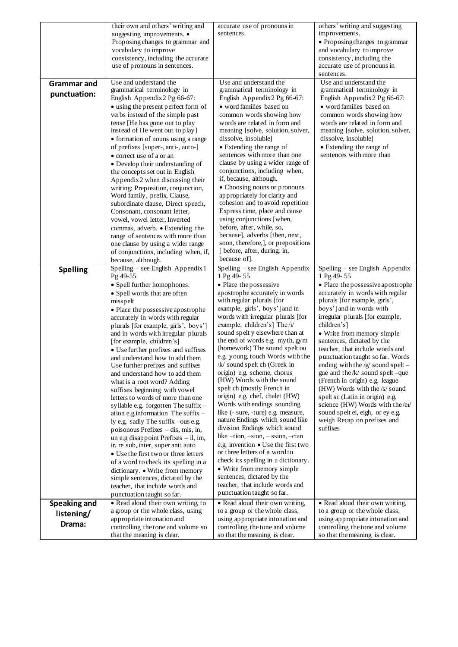|                     | their own and others' writing and                                          | accurate use of pronouns in                                       | others' writing and suggesting                                       |  |
|---------------------|----------------------------------------------------------------------------|-------------------------------------------------------------------|----------------------------------------------------------------------|--|
|                     | suggesting improvements. •<br>Proposing changes to grammar and             | sentences.                                                        | improvements.<br>• Proposing changes to grammar                      |  |
|                     | vocabulary to improve                                                      |                                                                   | and vocabulary to improve                                            |  |
|                     | consistency, including the accurate                                        |                                                                   | consistency, including the                                           |  |
|                     | use of pronouns in sentences.                                              |                                                                   | accurate use of pronouns in                                          |  |
|                     |                                                                            |                                                                   | sentences.                                                           |  |
| <b>Grammar</b> and  | Use and understand the                                                     | Use and understand the                                            | Use and understand the                                               |  |
| punctuation:        | grammatical terminology in<br>English Appendix 2 Pg 66-67:                 | grammatical terminology in<br>English Appendix 2 Pg 66-67:        | grammatical terminology in<br>English Appendix 2 Pg 66-67:           |  |
|                     | • using the present perfect form of                                        | · word families based on                                          | • word families based on                                             |  |
|                     | verbs instead of the simple past                                           | common words showing how                                          | common words showing how                                             |  |
|                     | tense [He has gone out to play                                             | words are related in form and                                     | words are related in form and                                        |  |
|                     | instead of He went out to play]                                            | meaning [solve, solution, solver,                                 | meaning [solve, solution, solver,                                    |  |
|                     | • formation of nouns using a range                                         | dissolve, insoluble]                                              | dissolve, insoluble]                                                 |  |
|                     | of prefixes [super-, anti-, auto-]                                         | • Extending the range of                                          | • Extending the range of                                             |  |
|                     | • correct use of a or an                                                   | sentences with more than one                                      | sentences with more than                                             |  |
|                     | • Develop their understanding of                                           | clause by using a wider range of<br>conjunctions, including when, |                                                                      |  |
|                     | the concepts set out in English<br>Appendix 2 when discussing their        | if, because, although.                                            |                                                                      |  |
|                     | writing: Preposition, conjunction,                                         | • Choosing nouns or pronouns                                      |                                                                      |  |
|                     | Word family, prefix, Clause,                                               | appropriately for clarity and                                     |                                                                      |  |
|                     | subordinate clause, Direct speech,                                         | cohesion and to avoid repetition                                  |                                                                      |  |
|                     | Consonant, consonant letter,                                               | Express time, place and cause                                     |                                                                      |  |
|                     | vowel, vowel letter, Inverted                                              | using conjunctions [when,                                         |                                                                      |  |
|                     | commas, adverb. • Extending the<br>range of sentences with more than       | before, after, while, so,<br>because], adverbs [then, next,       |                                                                      |  |
|                     | one clause by using a wider range                                          | soon, therefore,], or prepositions                                |                                                                      |  |
|                     | of conjunctions, including when, if,                                       | [ before, after, during, in,                                      |                                                                      |  |
|                     | because, although.                                                         | because of.                                                       |                                                                      |  |
| <b>Spelling</b>     | Spelling - see English Appendix 1                                          | Spelling – see English Appendix                                   | Spelling – see English Appendix                                      |  |
|                     | Pg 49-55                                                                   | 1 Pg 49-55                                                        | 1 Pg 49-55                                                           |  |
|                     | • Spell further homophones.                                                | • Place the possessive                                            | • Place the possessive apostrophe                                    |  |
|                     | • Spell words that are often<br>misspelt                                   | apostrophe accurately in words<br>with regular plurals [for       | accurately in words with regular<br>plurals [for example, girls',    |  |
|                     | • Place the possessive apostrophe                                          | example, girls', boys'] and in                                    | boys'] and in words with                                             |  |
|                     | accurately in words with regular                                           | words with irregular plurals [for                                 | irregular plurals [for example,                                      |  |
|                     | plurals [for example, girls', boys']                                       | example, children's] The $/t$                                     | children's]                                                          |  |
|                     | and in words with irregular plurals                                        | sound spelt y elsewhere than at                                   | • Write from memory simple                                           |  |
|                     | [for example, children's]                                                  | the end of words e.g. myth, gym                                   | sentences, dictated by the                                           |  |
|                     | • Use further prefixes and suffixes                                        | (homework) The sound spelt ou<br>e.g. young, touch Words with the | teacher, that include words and<br>punctuation taught so far. Words  |  |
|                     | and understand how to add them<br>Use further prefixes and suffixes        | /k/ sound spelt ch (Greek in                                      | ending with the $/g$ sound spelt –                                   |  |
|                     | and understand how to add them                                             | origin) e.g. scheme, chorus                                       | gue and the $/k/$ sound spelt -que                                   |  |
|                     | what is a root word? Adding                                                | (HW) Words with the sound                                         | (French in origin) e.g. league                                       |  |
|                     | suffixes beginning with vowel                                              | spelt ch (mostly French in                                        | (HW) Words with the /s/ sound                                        |  |
|                     | letters to words of more than one                                          | origin) e.g. chef, chalet (HW)                                    | spelt sc (Latin in origin) e.g.                                      |  |
|                     | syllable e.g. forgotten The suffix -<br>ation e.g.information The suffix - | Words with endings sounding<br>like (- sure, -ture) e.g. measure, | science (HW) Words with the /ei/<br>sound spelt ei, eigh, or ey e.g. |  |
|                     | ly e.g. sadly The suffix -ous e.g.                                         | nature Endings which sound like                                   | weigh Recap on prefixes and                                          |  |
|                     | poisonous Prefixes - dis, mis, in,                                         | division Endings which sound                                      | suffixes                                                             |  |
|                     | un e.g disappoint Prefixes $-$ il, im,                                     | like $-tion$ , $-sion$ , $-sion$ , $-cian$                        |                                                                      |  |
|                     | ir, re sub, inter, super anti auto                                         | e.g. invention • Use the first two                                |                                                                      |  |
|                     | • Use the first two or three letters                                       | or three letters of a word to                                     |                                                                      |  |
|                     | of a word to check its spelling in a                                       | check its spelling in a dictionary.<br>• Write from memory simple |                                                                      |  |
|                     | dictionary. • Write from memory<br>simple sentences, dictated by the       | sentences, dictated by the                                        |                                                                      |  |
|                     | teacher, that include words and                                            | teacher, that include words and                                   |                                                                      |  |
|                     | punctuation taught so far.                                                 | punctuation taught so far.                                        |                                                                      |  |
| <b>Speaking and</b> | • Read aloud their own writing, to                                         | • Read aloud their own writing,                                   | • Read aloud their own writing,                                      |  |
| listening/          | a group or the whole class, using                                          | to a group or the whole class,                                    | to a group or the whole class,                                       |  |
| Drama:              | appropriate intonation and                                                 | using appropriate intonation and                                  | using appropriate intonation and                                     |  |
|                     | controlling the tone and volume so                                         | controlling the tone and volume                                   | controlling the tone and volume                                      |  |
|                     | that the meaning is clear.                                                 | so that the meaning is clear.                                     | so that the meaning is clear.                                        |  |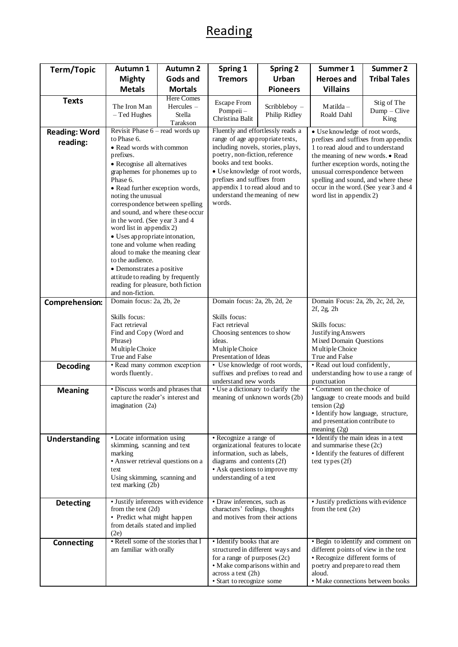## Reading

| Term/Topic                       | Autumn 1                                                                                                                                                                                                                                                                                                                                                                                                                                                                                                                                                                                                               | <b>Autumn 2</b>                                       | Spring 1                                                                                                                                                                                                                                                                                                           | <b>Spring 2</b>                                                                                        | Summer 1                                                                                                                                                                                                                                                                                                                           | Summer 2                                                                                                                                  |
|----------------------------------|------------------------------------------------------------------------------------------------------------------------------------------------------------------------------------------------------------------------------------------------------------------------------------------------------------------------------------------------------------------------------------------------------------------------------------------------------------------------------------------------------------------------------------------------------------------------------------------------------------------------|-------------------------------------------------------|--------------------------------------------------------------------------------------------------------------------------------------------------------------------------------------------------------------------------------------------------------------------------------------------------------------------|--------------------------------------------------------------------------------------------------------|------------------------------------------------------------------------------------------------------------------------------------------------------------------------------------------------------------------------------------------------------------------------------------------------------------------------------------|-------------------------------------------------------------------------------------------------------------------------------------------|
|                                  | <b>Mighty</b>                                                                                                                                                                                                                                                                                                                                                                                                                                                                                                                                                                                                          | Gods and                                              | <b>Tremors</b>                                                                                                                                                                                                                                                                                                     | Urban                                                                                                  | <b>Heroes</b> and                                                                                                                                                                                                                                                                                                                  | <b>Tribal Tales</b>                                                                                                                       |
|                                  | <b>Metals</b>                                                                                                                                                                                                                                                                                                                                                                                                                                                                                                                                                                                                          | <b>Mortals</b>                                        |                                                                                                                                                                                                                                                                                                                    | <b>Pioneers</b>                                                                                        | <b>Villains</b>                                                                                                                                                                                                                                                                                                                    |                                                                                                                                           |
| <b>Texts</b>                     | The Iron Man<br>$-$ Ted Hughes                                                                                                                                                                                                                                                                                                                                                                                                                                                                                                                                                                                         | <b>Here Comes</b><br>Hercules -<br>Stella<br>Tarakson | <b>Escape From</b><br>Pompeii-<br>Christina Balit                                                                                                                                                                                                                                                                  | Scribbleboy -<br>Philip Ridley                                                                         | $M$ atilda –<br>Roald Dahl                                                                                                                                                                                                                                                                                                         | Stig of The<br>Dump - Clive<br>King                                                                                                       |
| <b>Reading: Word</b><br>reading: | Revisit Phase 6 - read words up<br>to Phase 6.<br>• Read words with common<br>prefixes.<br>• Recognise all alternatives<br>graphemes for phonemes up to<br>Phase 6.<br>• Read further exception words,<br>noting the unusual<br>correspondence between spelling<br>and sound, and where these occur<br>in the word. (See year 3 and 4<br>word list in appendix 2)<br>• Uses appropriate intonation,<br>tone and volume when reading<br>aloud to make the meaning clear<br>to the audience.<br>• Demonstrates a positive<br>attitude to reading by frequently<br>reading for pleasure, both fiction<br>and non-fiction. |                                                       | Fluently and effortlessly reads a<br>range of age appropriate texts,<br>including novels, stories, plays,<br>poetry, non-fiction, reference<br>books and text books.<br>• Use knowledge of root words,<br>prefixes and suffixes from<br>appendix 1 to read aloud and to<br>understand the meaning of new<br>words. |                                                                                                        | · Use knowledge of root words,<br>prefixes and suffixes from appendix<br>1 to read aloud and to understand<br>the meaning of new words. • Read<br>further exception words, noting the<br>unusual correspondence between<br>spelling and sound, and where these<br>occur in the word. (See year 3 and 4<br>word list in appendix 2) |                                                                                                                                           |
| Comprehension:                   | Domain focus: 2a, 2b, 2e<br>Skills focus:<br>Fact retrieval<br>Find and Copy (Word and<br>Phrase)<br>Multiple Choice                                                                                                                                                                                                                                                                                                                                                                                                                                                                                                   |                                                       | Domain focus: 2a, 2b, 2d, 2e<br>Skills focus:<br>Fact retrieval<br>Choosing sentences to show<br>ideas.<br>Multiple Choice                                                                                                                                                                                         |                                                                                                        | Domain Focus: 2a, 2b, 2c, 2d, 2e,<br>$2f$ , $2g$ , $2h$<br>Skills focus:<br><b>Justifying Answers</b><br>Mixed Domain Questions<br>Multiple Choice                                                                                                                                                                                 |                                                                                                                                           |
| Decoding                         | True and False<br>• Read many common exception<br>words fluently.                                                                                                                                                                                                                                                                                                                                                                                                                                                                                                                                                      |                                                       | Presentation of Ideas<br>• Use knowledge of root words,<br>suffixes and prefixes to read and<br>understand new words                                                                                                                                                                                               |                                                                                                        | True and False<br>• Read out loud confidently,<br>understanding how to use a range of<br>punctuation                                                                                                                                                                                                                               |                                                                                                                                           |
| <b>Meaning</b>                   | · Discuss words and phrases that<br>capture the reader's interest and<br>imagination (2a)                                                                                                                                                                                                                                                                                                                                                                                                                                                                                                                              |                                                       |                                                                                                                                                                                                                                                                                                                    | • Use a dictionary to clarify the<br>meaning of unknown words (2b)<br>tension $(2g)$<br>meaning $(2g)$ |                                                                                                                                                                                                                                                                                                                                    | • Comment on the choice of<br>language to create moods and build<br>· Identify how language, structure,<br>and presentation contribute to |
| Understanding                    | • Locate information using<br>skimming, scanning and text<br>marking<br>• Answer retrieval questions on a<br>text<br>Using skimming, scanning and<br>text marking (2b)                                                                                                                                                                                                                                                                                                                                                                                                                                                 |                                                       | • Recognize a range of<br>organizational features to locate<br>information, such as labels,<br>diagrams and contents (2f)<br>• Ask questions to improve my<br>understanding of a text                                                                                                                              |                                                                                                        | • Identify the main ideas in a text<br>and summarise these (2c)<br>· Identify the features of different<br>text types $(2f)$                                                                                                                                                                                                       |                                                                                                                                           |
| <b>Detecting</b>                 | · Justify inferences with evidence<br>from the text $(2d)$<br>• Predict what might happen<br>from details stated and implied<br>(2e)                                                                                                                                                                                                                                                                                                                                                                                                                                                                                   |                                                       | • Draw inferences, such as<br>characters' feelings, thoughts<br>and motives from their actions                                                                                                                                                                                                                     |                                                                                                        | • Justify predictions with evidence<br>from the text $(2e)$                                                                                                                                                                                                                                                                        |                                                                                                                                           |
| Connecting                       | • Retell some of the stories that I<br>am familiar with orally                                                                                                                                                                                                                                                                                                                                                                                                                                                                                                                                                         |                                                       | • Identify books that are<br>structured in different ways and<br>for a range of purposes $(2c)$<br>• M ake comparisons within and<br>across a text (2h)<br>· Start to recognize some                                                                                                                               |                                                                                                        | · Begin to identify and comment on<br>different points of view in the text<br>· Recognize different forms of<br>poetry and prepare to read them<br>aloud.<br>• Make connections between books                                                                                                                                      |                                                                                                                                           |